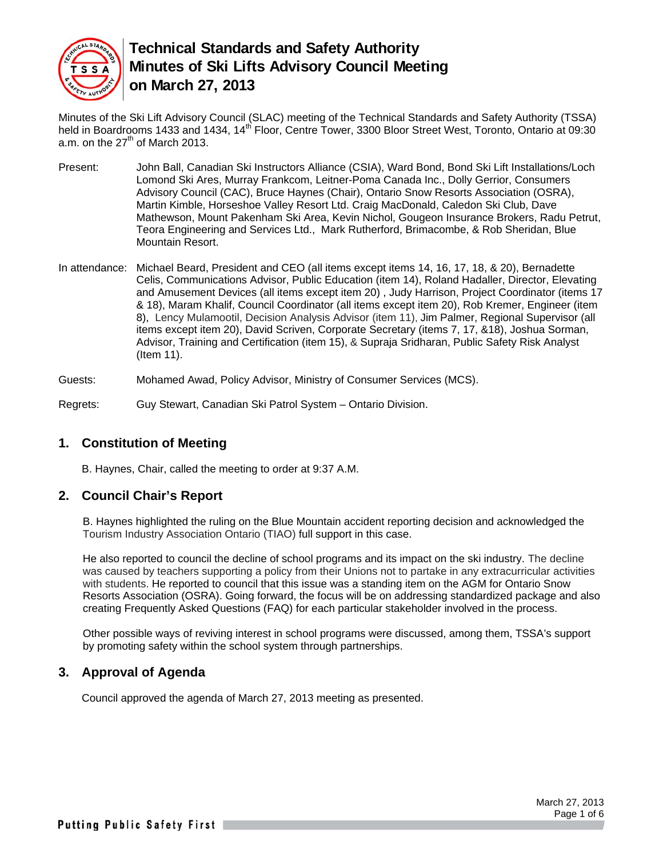

Minutes of the Ski Lift Advisory Council (SLAC) meeting of the Technical Standards and Safety Authority (TSSA) held in Boardrooms 1433 and 1434, 14<sup>th</sup> Floor, Centre Tower, 3300 Bloor Street West, Toronto, Ontario at 09:30 a.m. on the  $27<sup>th</sup>$  of March 2013.

- Present: John Ball, Canadian Ski Instructors Alliance (CSIA), Ward Bond, Bond Ski Lift Installations/Loch Lomond Ski Ares, Murray Frankcom, Leitner-Poma Canada Inc., Dolly Gerrior, Consumers Advisory Council (CAC), Bruce Haynes (Chair), Ontario Snow Resorts Association (OSRA), Martin Kimble, Horseshoe Valley Resort Ltd. Craig MacDonald, Caledon Ski Club, Dave Mathewson, Mount Pakenham Ski Area, Kevin Nichol, Gougeon Insurance Brokers, Radu Petrut, Teora Engineering and Services Ltd., Mark Rutherford, Brimacombe, & Rob Sheridan, Blue Mountain Resort.
- In attendance: Michael Beard, President and CEO (all items except items 14, 16, 17, 18, & 20), Bernadette Celis, Communications Advisor, Public Education (item 14), Roland Hadaller, Director, Elevating and Amusement Devices (all items except item 20) , Judy Harrison, Project Coordinator (items 17 & 18), Maram Khalif, Council Coordinator (all items except item 20), Rob Kremer, Engineer (item 8), Lency Mulamootil, Decision Analysis Advisor (item 11), Jim Palmer, Regional Supervisor (all items except item 20), David Scriven, Corporate Secretary (items 7, 17, &18), Joshua Sorman, Advisor, Training and Certification (item 15), & Supraja Sridharan, Public Safety Risk Analyst (Item 11).

Guests: Mohamed Awad, Policy Advisor, Ministry of Consumer Services (MCS).

Regrets: Guy Stewart, Canadian Ski Patrol System – Ontario Division.

# **1. Constitution of Meeting**

B. Haynes, Chair, called the meeting to order at 9:37 A.M.

#### **2. Council Chair's Report**

B. Haynes highlighted the ruling on the Blue Mountain accident reporting decision and acknowledged the Tourism Industry Association Ontario (TIAO) full support in this case.

He also reported to council the decline of school programs and its impact on the ski industry. The decline was caused by teachers supporting a policy from their Unions not to partake in any extracurricular activities with students. He reported to council that this issue was a standing item on the AGM for Ontario Snow Resorts Association (OSRA). Going forward, the focus will be on addressing standardized package and also creating Frequently Asked Questions (FAQ) for each particular stakeholder involved in the process.

Other possible ways of reviving interest in school programs were discussed, among them, TSSA's support by promoting safety within the school system through partnerships.

# **3. Approval of Agenda**

Council approved the agenda of March 27, 2013 meeting as presented.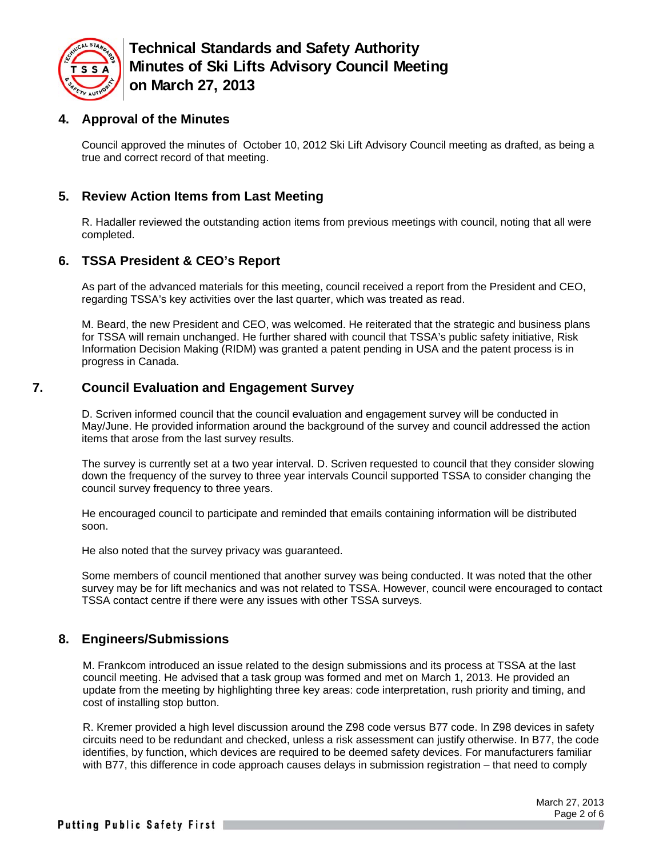

#### **4. Approval of the Minutes**

Council approved the minutes of October 10, 2012 Ski Lift Advisory Council meeting as drafted, as being a true and correct record of that meeting.

# **5. Review Action Items from Last Meeting**

R. Hadaller reviewed the outstanding action items from previous meetings with council, noting that all were completed.

# **6. TSSA President & CEO's Report**

As part of the advanced materials for this meeting, council received a report from the President and CEO, regarding TSSA's key activities over the last quarter, which was treated as read.

M. Beard, the new President and CEO, was welcomed. He reiterated that the strategic and business plans for TSSA will remain unchanged. He further shared with council that TSSA's public safety initiative, Risk Information Decision Making (RIDM) was granted a patent pending in USA and the patent process is in progress in Canada.

# **7. Council Evaluation and Engagement Survey**

D. Scriven informed council that the council evaluation and engagement survey will be conducted in May/June. He provided information around the background of the survey and council addressed the action items that arose from the last survey results.

The survey is currently set at a two year interval. D. Scriven requested to council that they consider slowing down the frequency of the survey to three year intervals Council supported TSSA to consider changing the council survey frequency to three years.

He encouraged council to participate and reminded that emails containing information will be distributed soon.

He also noted that the survey privacy was guaranteed.

Some members of council mentioned that another survey was being conducted. It was noted that the other survey may be for lift mechanics and was not related to TSSA. However, council were encouraged to contact TSSA contact centre if there were any issues with other TSSA surveys.

# **8. Engineers/Submissions**

M. Frankcom introduced an issue related to the design submissions and its process at TSSA at the last council meeting. He advised that a task group was formed and met on March 1, 2013. He provided an update from the meeting by highlighting three key areas: code interpretation, rush priority and timing, and cost of installing stop button.

R. Kremer provided a high level discussion around the Z98 code versus B77 code. In Z98 devices in safety circuits need to be redundant and checked, unless a risk assessment can justify otherwise. In B77, the code identifies, by function, which devices are required to be deemed safety devices. For manufacturers familiar with B77, this difference in code approach causes delays in submission registration – that need to comply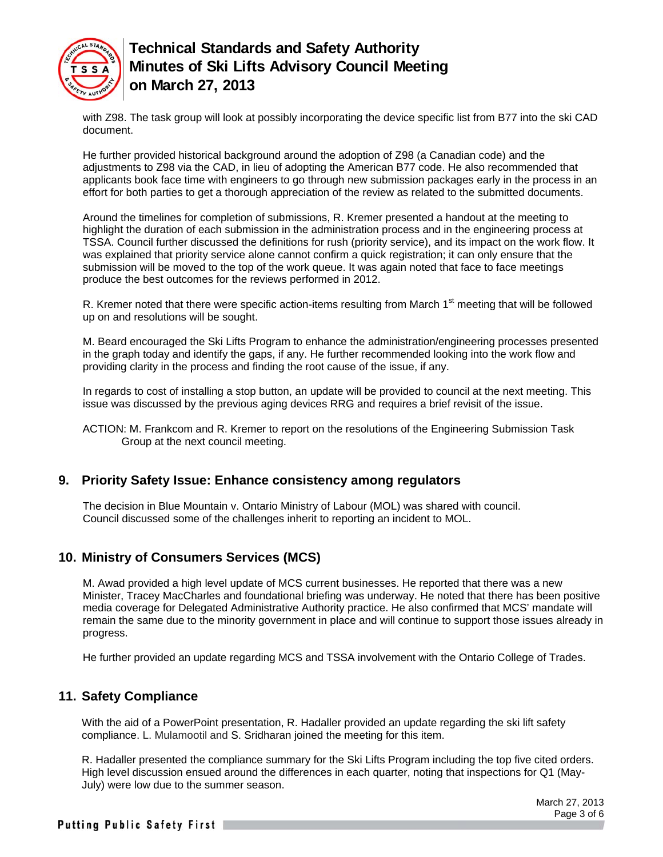

with Z98. The task group will look at possibly incorporating the device specific list from B77 into the ski CAD document.

He further provided historical background around the adoption of Z98 (a Canadian code) and the adjustments to Z98 via the CAD, in lieu of adopting the American B77 code. He also recommended that applicants book face time with engineers to go through new submission packages early in the process in an effort for both parties to get a thorough appreciation of the review as related to the submitted documents.

Around the timelines for completion of submissions, R. Kremer presented a handout at the meeting to highlight the duration of each submission in the administration process and in the engineering process at TSSA. Council further discussed the definitions for rush (priority service), and its impact on the work flow. It was explained that priority service alone cannot confirm a quick registration; it can only ensure that the submission will be moved to the top of the work queue. It was again noted that face to face meetings produce the best outcomes for the reviews performed in 2012.

R. Kremer noted that there were specific action-items resulting from March  $1<sup>st</sup>$  meeting that will be followed up on and resolutions will be sought.

M. Beard encouraged the Ski Lifts Program to enhance the administration/engineering processes presented in the graph today and identify the gaps, if any. He further recommended looking into the work flow and providing clarity in the process and finding the root cause of the issue, if any.

In regards to cost of installing a stop button, an update will be provided to council at the next meeting. This issue was discussed by the previous aging devices RRG and requires a brief revisit of the issue.

ACTION: M. Frankcom and R. Kremer to report on the resolutions of the Engineering Submission Task Group at the next council meeting.

#### **9. Priority Safety Issue: Enhance consistency among regulators**

The decision in Blue Mountain v. Ontario Ministry of Labour (MOL) was shared with council. Council discussed some of the challenges inherit to reporting an incident to MOL.

#### **10. Ministry of Consumers Services (MCS)**

M. Awad provided a high level update of MCS current businesses. He reported that there was a new Minister, Tracey MacCharles and foundational briefing was underway. He noted that there has been positive media coverage for Delegated Administrative Authority practice. He also confirmed that MCS' mandate will remain the same due to the minority government in place and will continue to support those issues already in progress.

He further provided an update regarding MCS and TSSA involvement with the Ontario College of Trades.

#### **11. Safety Compliance**

With the aid of a PowerPoint presentation, R. Hadaller provided an update regarding the ski lift safety compliance. L. Mulamootil and S. Sridharan joined the meeting for this item.

R. Hadaller presented the compliance summary for the Ski Lifts Program including the top five cited orders. High level discussion ensued around the differences in each quarter, noting that inspections for Q1 (May-July) were low due to the summer season.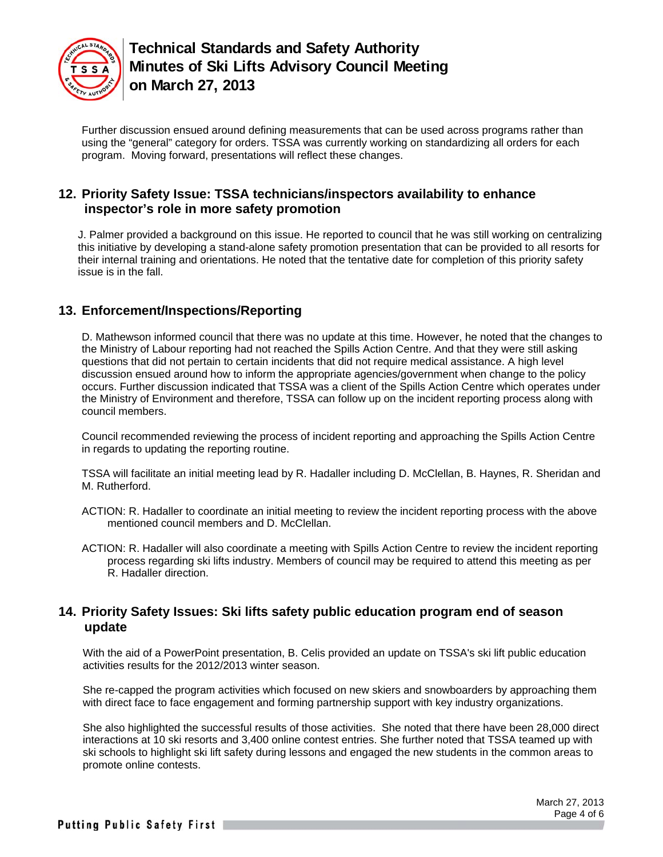

Further discussion ensued around defining measurements that can be used across programs rather than using the "general" category for orders. TSSA was currently working on standardizing all orders for each program. Moving forward, presentations will reflect these changes.

#### **12. Priority Safety Issue: TSSA technicians/inspectors availability to enhance inspector's role in more safety promotion**

J. Palmer provided a background on this issue. He reported to council that he was still working on centralizing this initiative by developing a stand-alone safety promotion presentation that can be provided to all resorts for their internal training and orientations. He noted that the tentative date for completion of this priority safety issue is in the fall.

# **13. Enforcement/Inspections/Reporting**

D. Mathewson informed council that there was no update at this time. However, he noted that the changes to the Ministry of Labour reporting had not reached the Spills Action Centre. And that they were still asking questions that did not pertain to certain incidents that did not require medical assistance. A high level discussion ensued around how to inform the appropriate agencies/government when change to the policy occurs. Further discussion indicated that TSSA was a client of the Spills Action Centre which operates under the Ministry of Environment and therefore, TSSA can follow up on the incident reporting process along with council members.

Council recommended reviewing the process of incident reporting and approaching the Spills Action Centre in regards to updating the reporting routine.

TSSA will facilitate an initial meeting lead by R. Hadaller including D. McClellan, B. Haynes, R. Sheridan and M. Rutherford.

- ACTION: R. Hadaller to coordinate an initial meeting to review the incident reporting process with the above mentioned council members and D. McClellan.
- ACTION: R. Hadaller will also coordinate a meeting with Spills Action Centre to review the incident reporting process regarding ski lifts industry. Members of council may be required to attend this meeting as per R. Hadaller direction.

#### **14. Priority Safety Issues: Ski lifts safety public education program end of season update**

With the aid of a PowerPoint presentation, B. Celis provided an update on TSSA's ski lift public education activities results for the 2012/2013 winter season.

She re-capped the program activities which focused on new skiers and snowboarders by approaching them with direct face to face engagement and forming partnership support with key industry organizations.

She also highlighted the successful results of those activities. She noted that there have been 28,000 direct interactions at 10 ski resorts and 3,400 online contest entries. She further noted that TSSA teamed up with ski schools to highlight ski lift safety during lessons and engaged the new students in the common areas to promote online contests.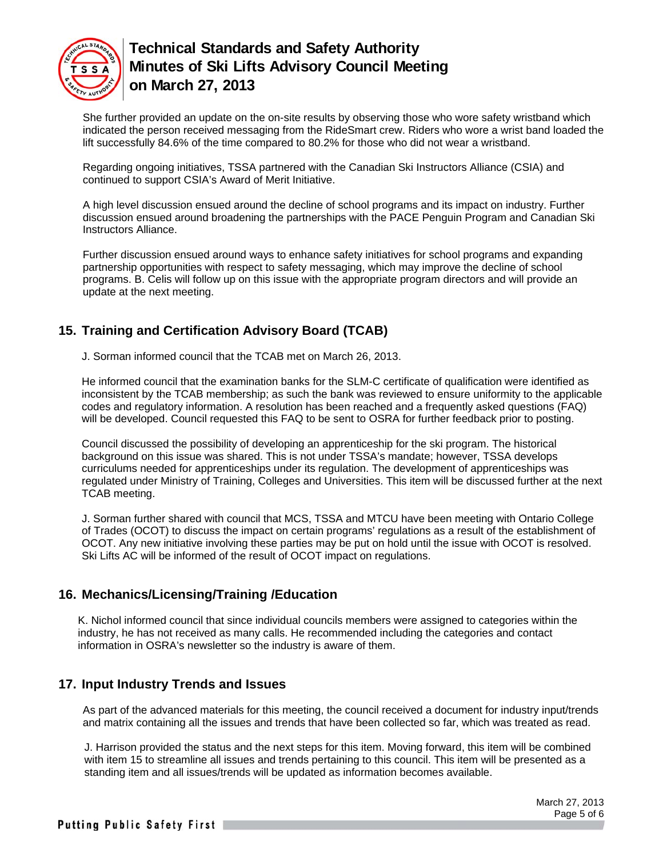

She further provided an update on the on-site results by observing those who wore safety wristband which indicated the person received messaging from the RideSmart crew. Riders who wore a wrist band loaded the lift successfully 84.6% of the time compared to 80.2% for those who did not wear a wristband.

Regarding ongoing initiatives, TSSA partnered with the Canadian Ski Instructors Alliance (CSIA) and continued to support CSIA's Award of Merit Initiative.

A high level discussion ensued around the decline of school programs and its impact on industry. Further discussion ensued around broadening the partnerships with the PACE Penguin Program and Canadian Ski Instructors Alliance.

Further discussion ensued around ways to enhance safety initiatives for school programs and expanding partnership opportunities with respect to safety messaging, which may improve the decline of school programs. B. Celis will follow up on this issue with the appropriate program directors and will provide an update at the next meeting.

# **15. Training and Certification Advisory Board (TCAB)**

J. Sorman informed council that the TCAB met on March 26, 2013.

He informed council that the examination banks for the SLM-C certificate of qualification were identified as inconsistent by the TCAB membership; as such the bank was reviewed to ensure uniformity to the applicable codes and regulatory information. A resolution has been reached and a frequently asked questions (FAQ) will be developed. Council requested this FAQ to be sent to OSRA for further feedback prior to posting.

Council discussed the possibility of developing an apprenticeship for the ski program. The historical background on this issue was shared. This is not under TSSA's mandate; however, TSSA develops curriculums needed for apprenticeships under its regulation. The development of apprenticeships was regulated under Ministry of Training, Colleges and Universities. This item will be discussed further at the next TCAB meeting.

J. Sorman further shared with council that MCS, TSSA and MTCU have been meeting with Ontario College of Trades (OCOT) to discuss the impact on certain programs' regulations as a result of the establishment of OCOT. Any new initiative involving these parties may be put on hold until the issue with OCOT is resolved. Ski Lifts AC will be informed of the result of OCOT impact on regulations.

# **16. Mechanics/Licensing/Training /Education**

K. Nichol informed council that since individual councils members were assigned to categories within the industry, he has not received as many calls. He recommended including the categories and contact information in OSRA's newsletter so the industry is aware of them.

# **17. Input Industry Trends and Issues**

As part of the advanced materials for this meeting, the council received a document for industry input/trends and matrix containing all the issues and trends that have been collected so far, which was treated as read.

J. Harrison provided the status and the next steps for this item. Moving forward, this item will be combined with item 15 to streamline all issues and trends pertaining to this council. This item will be presented as a standing item and all issues/trends will be updated as information becomes available.